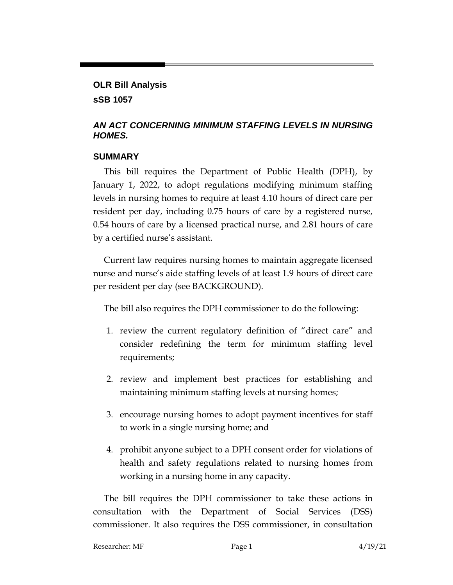# **OLR Bill Analysis sSB 1057**

# *AN ACT CONCERNING MINIMUM STAFFING LEVELS IN NURSING HOMES.*

## **SUMMARY**

This bill requires the Department of Public Health (DPH), by January 1, 2022, to adopt regulations modifying minimum staffing levels in nursing homes to require at least 4.10 hours of direct care per resident per day, including 0.75 hours of care by a registered nurse, 0.54 hours of care by a licensed practical nurse, and 2.81 hours of care by a certified nurse's assistant.

Current law requires nursing homes to maintain aggregate licensed nurse and nurse's aide staffing levels of at least 1.9 hours of direct care per resident per day (see BACKGROUND).

The bill also requires the DPH commissioner to do the following:

- 1. review the current regulatory definition of "direct care" and consider redefining the term for minimum staffing level requirements;
- 2. review and implement best practices for establishing and maintaining minimum staffing levels at nursing homes;
- 3. encourage nursing homes to adopt payment incentives for staff to work in a single nursing home; and
- 4. prohibit anyone subject to a DPH consent order for violations of health and safety regulations related to nursing homes from working in a nursing home in any capacity.

The bill requires the DPH commissioner to take these actions in consultation with the Department of Social Services (DSS) commissioner. It also requires the DSS commissioner, in consultation

| Researcher: MF | Page 1 | 4/19/21 |
|----------------|--------|---------|
|                |        |         |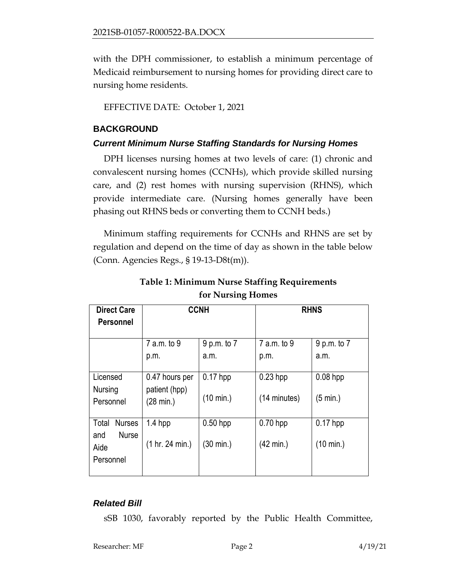with the DPH commissioner, to establish a minimum percentage of Medicaid reimbursement to nursing homes for providing direct care to nursing home residents.

EFFECTIVE DATE: October 1, 2021

#### **BACKGROUND**

#### *Current Minimum Nurse Staffing Standards for Nursing Homes*

DPH licenses nursing homes at two levels of care: (1) chronic and convalescent nursing homes (CCNHs), which provide skilled nursing care, and (2) rest homes with nursing supervision (RHNS), which provide intermediate care. (Nursing homes generally have been phasing out RHNS beds or converting them to CCNH beds.)

Minimum staffing requirements for CCNHs and RHNS are set by regulation and depend on the time of day as shown in the table below (Conn. Agencies Regs., § 19-13-D8t(m)).

| <b>Direct Care</b>                       | <b>CCNH</b>                     |             | <b>RHNS</b>  |                     |
|------------------------------------------|---------------------------------|-------------|--------------|---------------------|
| <b>Personnel</b>                         |                                 |             |              |                     |
|                                          | 7 a.m. to 9                     | 9 p.m. to 7 | 7 a.m. to 9  | 9 p.m. to 7         |
|                                          | p.m.                            | a.m.        | p.m.         | a.m.                |
| Licensed<br>Nursing                      | 0.47 hours per<br>patient (hpp) | $0.17$ hpp  | $0.23$ hpp   | $0.08$ hpp          |
| Personnel                                | $(28 \text{ min.})$             | (10 min.)   | (14 minutes) | (5 min.)            |
| <b>Nurses</b><br>Total                   | $1.4$ hpp                       | $0.50$ hpp  | $0.70$ hpp   | $0.17$ hpp          |
| <b>Nurse</b><br>and<br>Aide<br>Personnel | (1 hr. 24 min.)                 | (30 min.)   | (42 min.)    | $(10 \text{ min.})$ |
|                                          |                                 |             |              |                     |

**Table 1: Minimum Nurse Staffing Requirements for Nursing Homes**

## *Related Bill*

sSB 1030, favorably reported by the Public Health Committee,